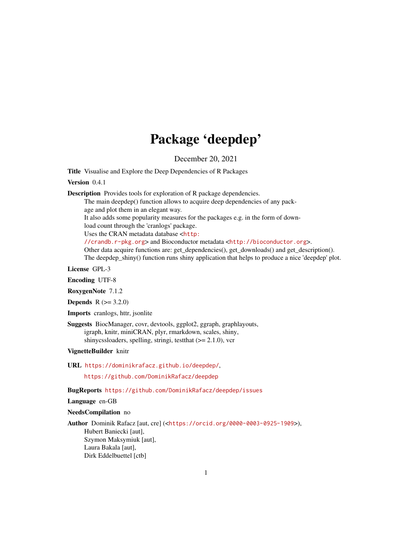## Package 'deepdep'

December 20, 2021

<span id="page-0-0"></span>Title Visualise and Explore the Deep Dependencies of R Packages

Version 0.4.1

Description Provides tools for exploration of R package dependencies.

The main deepdep() function allows to acquire deep dependencies of any pack-

age and plot them in an elegant way.

It also adds some popularity measures for the packages e.g. in the form of download count through the 'cranlogs' package.

Uses the CRAN metadata database <[http:](http://crandb.r-pkg.org)

[//crandb.r-pkg.org](http://crandb.r-pkg.org)> and Bioconductor metadata <<http://bioconductor.org>>.

Other data acquire functions are: get\_dependencies(), get\_downloads() and get\_description().

The deepdep\_shiny() function runs shiny application that helps to produce a nice 'deepdep' plot.

License GPL-3

Encoding UTF-8

RoxygenNote 7.1.2

**Depends**  $R (= 3.2.0)$ 

Imports cranlogs, httr, jsonlite

Suggests BiocManager, covr, devtools, ggplot2, ggraph, graphlayouts, igraph, knitr, miniCRAN, plyr, rmarkdown, scales, shiny, shinycssloaders, spelling, stringi, test that  $(>= 2.1.0)$ , vcr

VignetteBuilder knitr

URL <https://dominikrafacz.github.io/deepdep/>,

<https://github.com/DominikRafacz/deepdep>

BugReports <https://github.com/DominikRafacz/deepdep/issues>

Language en-GB

NeedsCompilation no

Author Dominik Rafacz [aut, cre] (<<https://orcid.org/0000-0003-0925-1909>>), Hubert Baniecki [aut], Szymon Maksymiuk [aut], Laura Bakala [aut], Dirk Eddelbuettel [ctb]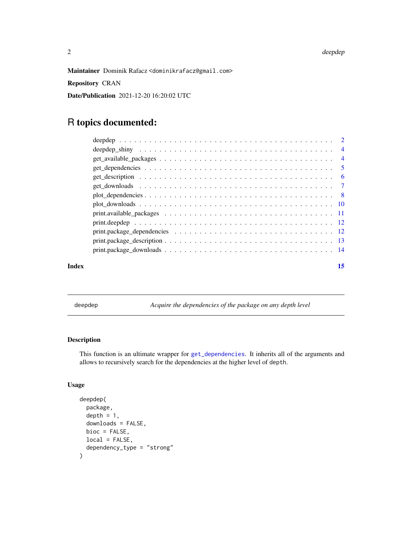<span id="page-1-0"></span>Maintainer Dominik Rafacz <dominikrafacz@gmail.com>

Repository CRAN

Date/Publication 2021-12-20 16:20:02 UTC

## R topics documented:

|                                                                                                                    | $\overline{4}$ |
|--------------------------------------------------------------------------------------------------------------------|----------------|
|                                                                                                                    | $\overline{4}$ |
|                                                                                                                    | $\sqrt{5}$     |
|                                                                                                                    | -6             |
|                                                                                                                    |                |
|                                                                                                                    | - 8            |
|                                                                                                                    |                |
| $print. available_packages \ldots \ldots \ldots \ldots \ldots \ldots \ldots \ldots \ldots \ldots \ldots \ldots 11$ |                |
|                                                                                                                    |                |
|                                                                                                                    |                |
|                                                                                                                    |                |
|                                                                                                                    |                |
|                                                                                                                    |                |

#### **Index** [15](#page-14-0)

<span id="page-1-1"></span>deepdep *Acquire the dependencies of the package on any depth level*

## Description

This function is an ultimate wrapper for [get\\_dependencies](#page-4-1). It inherits all of the arguments and allows to recursively search for the dependencies at the higher level of depth.

## Usage

```
deepdep(
 package,
  depth = 1,
  downloads = FALSE,
 bioc = FALSE,
  local = FALSE,
  dependency_type = "strong"
\mathcal{L}
```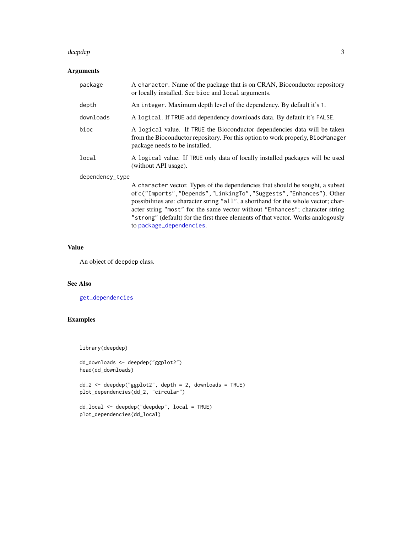#### <span id="page-2-0"></span>deepdep 3

## Arguments

| package         | A character. Name of the package that is on CRAN, Bioconductor repository<br>or locally installed. See bioc and local arguments.                                                                                                                                                                                              |
|-----------------|-------------------------------------------------------------------------------------------------------------------------------------------------------------------------------------------------------------------------------------------------------------------------------------------------------------------------------|
| depth           | An integer. Maximum depth level of the dependency. By default it's 1.                                                                                                                                                                                                                                                         |
| downloads       | A logical. If TRUE add dependency downloads data. By default it's FALSE.                                                                                                                                                                                                                                                      |
| bioc            | A logical value. If TRUE the Bioconductor dependencies data will be taken<br>from the Bioconductor repository. For this option to work properly, BiocManager<br>package needs to be installed.                                                                                                                                |
| local           | A logical value. If TRUE only data of locally installed packages will be used<br>(without API usage).                                                                                                                                                                                                                         |
| dependency_type |                                                                                                                                                                                                                                                                                                                               |
|                 | A character vector. Types of the dependencies that should be sought, a subset<br>of c("Imports", "Depends", "LinkingTo", "Suggests", "Enhances"). Other<br>possibilities are: character string "all", a shorthand for the whole vector; char-<br>acter string "most" for the same vector without "Enhances"; character string |

"strong" (default) for the first three elements of that vector. Works analogously to [package\\_dependencies](#page-0-0).

#### Value

An object of deepdep class.

## See Also

[get\\_dependencies](#page-4-1)

## Examples

library(deepdep)

```
dd_downloads <- deepdep("ggplot2")
head(dd_downloads)
```
dd\_2 <- deepdep("ggplot2", depth = 2, downloads = TRUE) plot\_dependencies(dd\_2, "circular")

```
dd_local <- deepdep("deepdep", local = TRUE)
plot_dependencies(dd_local)
```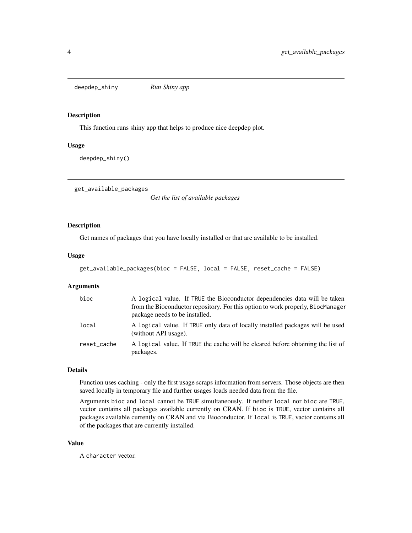<span id="page-3-0"></span>deepdep\_shiny *Run Shiny app*

#### Description

This function runs shiny app that helps to produce nice deepdep plot.

#### Usage

deepdep\_shiny()

get\_available\_packages

*Get the list of available packages*

#### Description

Get names of packages that you have locally installed or that are available to be installed.

#### Usage

```
get_available_packages(bioc = FALSE, local = FALSE, reset_cache = FALSE)
```
#### Arguments

| bioc        | A logical value. If TRUE the Bioconductor dependencies data will be taken<br>from the Bioconductor repository. For this option to work properly, BiocManager<br>package needs to be installed. |
|-------------|------------------------------------------------------------------------------------------------------------------------------------------------------------------------------------------------|
| local       | A logical value. If TRUE only data of locally installed packages will be used<br>(without API usage).                                                                                          |
| reset_cache | A logical value. If TRUE the cache will be cleared before obtaining the list of<br>packages.                                                                                                   |

## Details

Function uses caching - only the first usage scraps information from servers. Those objects are then saved locally in temporary file and further usages loads needed data from the file.

Arguments bioc and local cannot be TRUE simultaneously. If neither local nor bioc are TRUE, vector contains all packages available currently on CRAN. If bioc is TRUE, vector contains all packages available currently on CRAN and via Bioconductor. If local is TRUE, vactor contains all of the packages that are currently installed.

#### Value

A character vector.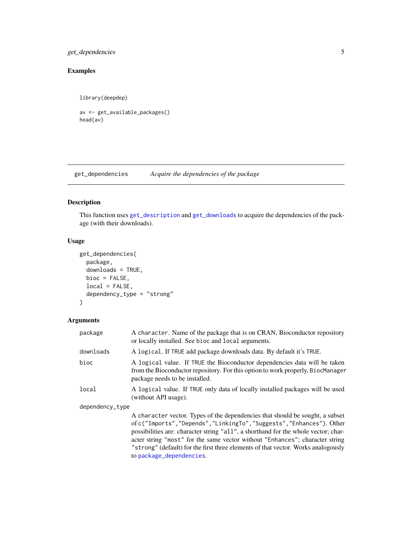## <span id="page-4-0"></span>get\_dependencies 5

## Examples

library(deepdep)

```
av <- get_available_packages()
head(av)
```
<span id="page-4-1"></span>get\_dependencies *Acquire the dependencies of the package*

## Description

This function uses [get\\_description](#page-5-1) and [get\\_downloads](#page-6-1) to acquire the dependencies of the package (with their downloads).

## Usage

```
get_dependencies(
 package,
  downloads = TRUE,
 bioc = FALSE,
 local = FALSE,
  dependency_type = "strong"
)
```
## Arguments

| package         | A character. Name of the package that is on CRAN, Bioconductor repository<br>or locally installed. See bioc and local arguments.                                                                                                                                                                                                                                                                                                           |
|-----------------|--------------------------------------------------------------------------------------------------------------------------------------------------------------------------------------------------------------------------------------------------------------------------------------------------------------------------------------------------------------------------------------------------------------------------------------------|
| downloads       | A logical. If TRUE add package downloads data. By default it's TRUE.                                                                                                                                                                                                                                                                                                                                                                       |
| bioc            | A logical value. If TRUE the Bioconductor dependencies data will be taken<br>from the Bioconductor repository. For this option to work properly, BiocManager<br>package needs to be installed.                                                                                                                                                                                                                                             |
| local           | A logical value. If TRUE only data of locally installed packages will be used<br>(without API usage).                                                                                                                                                                                                                                                                                                                                      |
| dependency_type |                                                                                                                                                                                                                                                                                                                                                                                                                                            |
|                 | A character vector. Types of the dependencies that should be sought, a subset<br>of c("Imports","Depends","LinkingTo","Suggests","Enhances"). Other<br>possibilities are: character string "all", a shorthand for the whole vector; char-<br>acter string "most" for the same vector without "Enhances"; character string<br>"strong" (default) for the first three elements of that vector. Works analogously<br>to package_dependencies. |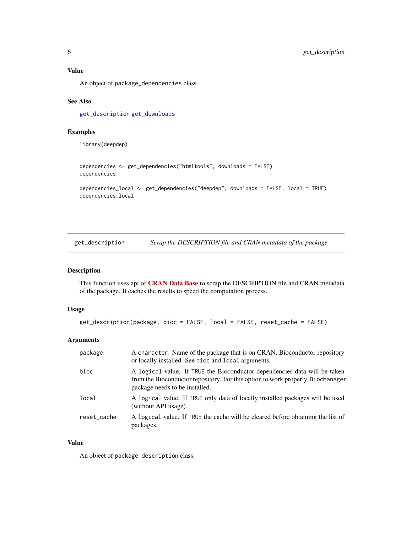<span id="page-5-0"></span>Value

An object of package\_dependencies class.

#### See Also

[get\\_description](#page-5-1) [get\\_downloads](#page-6-1)

## Examples

library(deepdep)

```
dependencies <- get_dependencies("htmltools", downloads = FALSE)
dependencies
dependencies_local <- get_dependencies("deepdep", downloads = FALSE, local = TRUE)
dependencies_local
```
<span id="page-5-1"></span>get\_description *Scrap the DESCRIPTION file and CRAN metadata of the package*

#### Description

This function uses api of [CRAN Data Base](http://crandb.r-pkg.org) to scrap the DESCRIPTION file and CRAN metadata of the package. It caches the results to speed the computation process.

#### Usage

```
get_description(package, bioc = FALSE, local = FALSE, reset_cache = FALSE)
```
## Arguments

| package     | A character. Name of the package that is on CRAN, Bioconductor repository<br>or locally installed. See bioc and local arguments.                                                               |
|-------------|------------------------------------------------------------------------------------------------------------------------------------------------------------------------------------------------|
| bioc        | A logical value. If TRUE the Bioconductor dependencies data will be taken<br>from the Bioconductor repository. For this option to work properly, BiocManager<br>package needs to be installed. |
| local       | A logical value. If TRUE only data of locally installed packages will be used<br>(without API usage).                                                                                          |
| reset_cache | A logical value. If TRUE the cache will be cleared before obtaining the list of<br>packages.                                                                                                   |

#### Value

An object of package\_description class.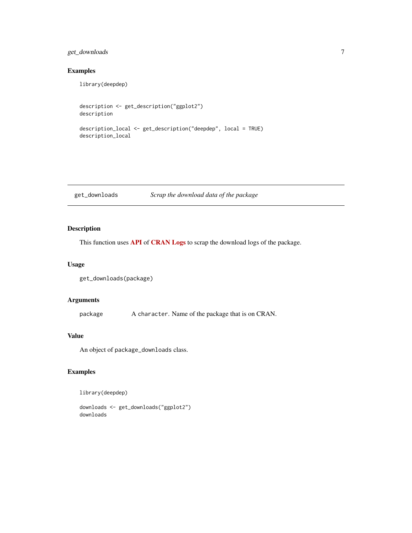## <span id="page-6-0"></span>get\_downloads 7

#### Examples

library(deepdep)

```
description <- get_description("ggplot2")
description
description_local <- get_description("deepdep", local = TRUE)
description_local
```
<span id="page-6-1"></span>get\_downloads *Scrap the download data of the package*

## Description

This function uses [API](https://github.com/r-hub/cranlogs) of [CRAN Logs](http://cran-logs.rstudio.com/) to scrap the download logs of the package.

#### Usage

```
get_downloads(package)
```
## Arguments

package A character. Name of the package that is on CRAN.

#### Value

An object of package\_downloads class.

## Examples

library(deepdep)

downloads <- get\_downloads("ggplot2") downloads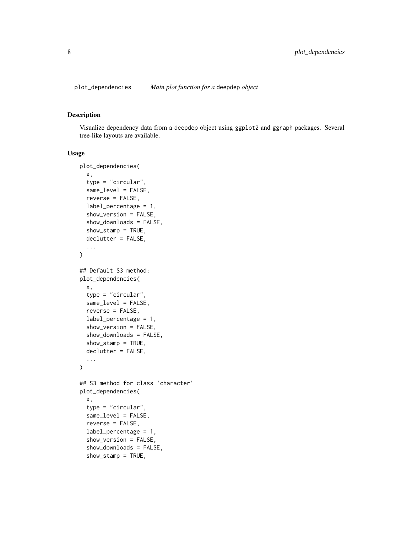<span id="page-7-0"></span>

#### Description

Visualize dependency data from a deepdep object using ggplot2 and ggraph packages. Several tree-like layouts are available.

#### Usage

```
plot_dependencies(
  x,
  type = "circular",
  same_level = FALSE,
  reverse = FALSE,
  label_percentage = 1,
  show_version = FALSE,
  show_downloads = FALSE,
  show_stamp = TRUE,
  declutter = FALSE,
  ...
)
## Default S3 method:
plot_dependencies(
  x,
  type = "circular",
  same_level = FALSE,
  reverse = FALSE,
  label_percentage = 1,
  show_version = FALSE,
  show_downloads = FALSE,
  show_stamp = TRUE,
  declutter = FALSE,
  ...
)
## S3 method for class 'character'
plot_dependencies(
  x,
  type = "circular",
  same_level = FALSE,
  reverse = FALSE,
  label_percentage = 1,
  show_version = FALSE,
  show_downloads = FALSE,
  show_stamp = TRUE,
```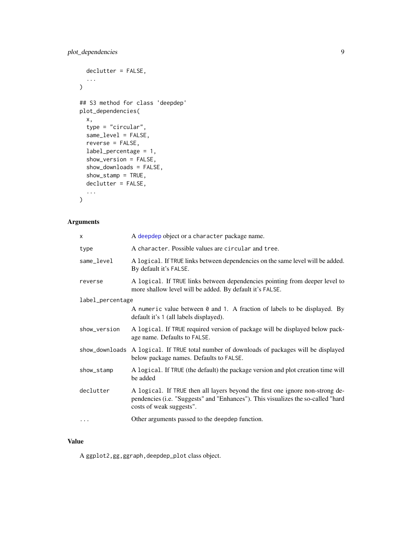```
declutter = FALSE,
  ...
\mathcal{L}## S3 method for class 'deepdep'
plot_dependencies(
 x,
  type = "circular",
  same_level = FALSE,
 reverse = FALSE,
 label_percentage = 1,
  show_version = FALSE,
  show_downloads = FALSE,
  show_stamp = TRUE,
 declutter = FALSE,
  ...
\mathcal{L}
```
## Arguments

| X                | A deepdep object or a character package name.                                                                                                                                                 |
|------------------|-----------------------------------------------------------------------------------------------------------------------------------------------------------------------------------------------|
| type             | A character. Possible values are circular and tree.                                                                                                                                           |
| same_level       | A logical. If TRUE links between dependencies on the same level will be added.<br>By default it's FALSE.                                                                                      |
| reverse          | A logical. If TRUE links between dependencies pointing from deeper level to<br>more shallow level will be added. By default it's FALSE.                                                       |
| label_percentage |                                                                                                                                                                                               |
|                  | A numeric value between 0 and 1. A fraction of labels to be displayed. By<br>default it's 1 (all labels displayed).                                                                           |
| show_version     | A logical. If TRUE required version of package will be displayed below pack-<br>age name. Defaults to FALSE.                                                                                  |
|                  | show_downloads A logical. If TRUE total number of downloads of packages will be displayed<br>below package names. Defaults to FALSE.                                                          |
| show_stamp       | A logical. If TRUE (the default) the package version and plot creation time will<br>be added                                                                                                  |
| declutter        | A logical. If TRUE then all layers beyond the first one ignore non-strong de-<br>pendencies (i.e. "Suggests" and "Enhances"). This visualizes the so-called "hard<br>costs of weak suggests". |
| .                | Other arguments passed to the deepdep function.                                                                                                                                               |

## Value

A ggplot2,gg,ggraph,deepdep\_plot class object.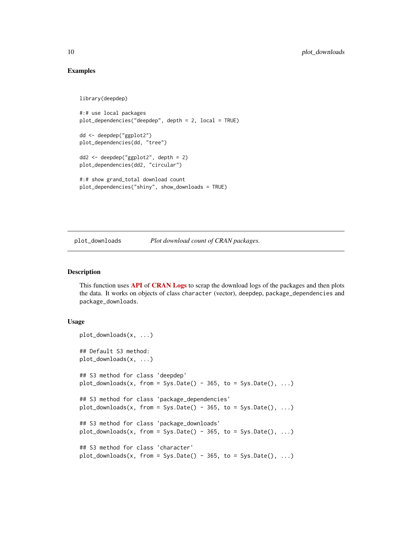#### Examples

```
library(deepdep)
```

```
#:# use local packages
plot_dependencies("deepdep", depth = 2, local = TRUE)
dd <- deepdep("ggplot2")
plot_dependencies(dd, "tree")
dd2 <- deepdep("ggplot2", depth = 2)
plot_dependencies(dd2, "circular")
#:# show grand_total download count
plot_dependencies("shiny", show_downloads = TRUE)
```
plot\_downloads *Plot download count of CRAN packages.*

#### Description

This function uses **[API](https://github.com/r-hub/cranlogs)** of **CRAN** Logs to scrap the download logs of the packages and then plots the data. It works on objects of class character (vector), deepdep, package\_dependencies and package\_downloads.

#### Usage

```
plot_downloads(x, ...)
## Default S3 method:
plot_downloads(x, ...)
## S3 method for class 'deepdep'
plot_downloads(x, from = Sys.DataFrame() - 365, to = Sys.DataFrame(), ...)## S3 method for class 'package_dependencies'
plot_downloads(x, from = Sys.Date() - 365, to = Sys.Date(), ...)## S3 method for class 'package_downloads'
plot_downloads(x, from = Sys.Date() - 365, to = Sys.Date(), ...)## S3 method for class 'character'
plot_downloads(x, from = Sys.Date() - 365, to = Sys.Date(), ...)
```
<span id="page-9-0"></span>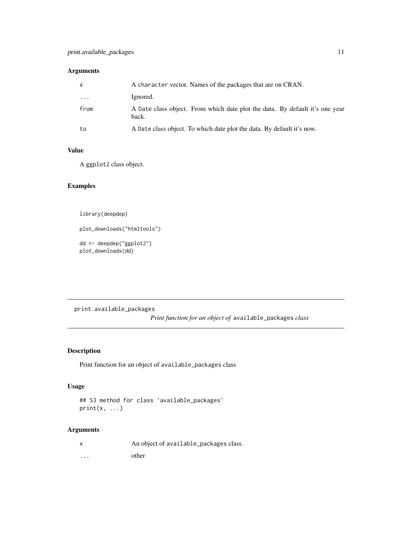## <span id="page-10-0"></span>Arguments

| X       | A character vector. Names of the packages that are on CRAN.                           |  |
|---------|---------------------------------------------------------------------------------------|--|
| $\cdot$ | Ignored.                                                                              |  |
| from    | A Date class object. From which date plot the data. By default it's one year<br>back. |  |
| to      | A Date class object. To which date plot the data. By default it's now.                |  |

## Value

A ggplot2 class object.

## Examples

library(deepdep)

plot\_downloads("htmltools")

dd <- deepdep("ggplot2") plot\_downloads(dd)

print.available\_packages

*Print function for an object of* available\_packages *class*

## Description

Print function for an object of available\_packages class

## Usage

```
## S3 method for class 'available_packages'
print(x, \ldots)
```
## Arguments

| $\boldsymbol{\mathsf{x}}$ | An object of available_packages class. |
|---------------------------|----------------------------------------|
| $\cdots$                  | other                                  |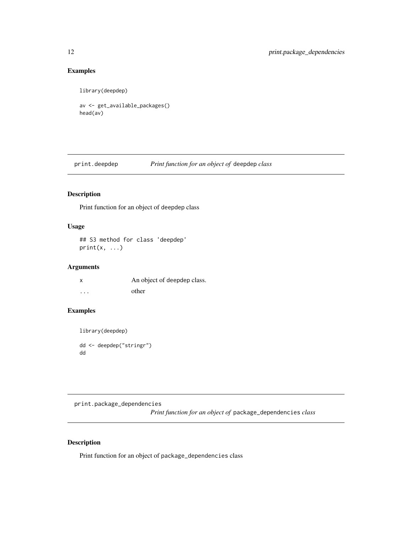## Examples

library(deepdep)

```
av <- get_available_packages()
head(av)
```
print.deepdep *Print function for an object of* deepdep *class*

## Description

Print function for an object of deepdep class

## Usage

## S3 method for class 'deepdep'  $print(x, \ldots)$ 

## Arguments

|   | An object of deepdep class. |
|---|-----------------------------|
| . | other                       |

## Examples

library(deepdep) dd <- deepdep("stringr") dd

print.package\_dependencies *Print function for an object of* package\_dependencies *class*

## Description

Print function for an object of package\_dependencies class

<span id="page-11-0"></span>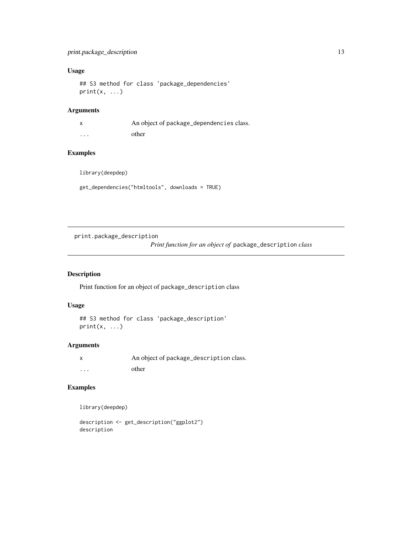## <span id="page-12-0"></span>Usage

```
## S3 method for class 'package_dependencies'
print(x, \ldots)
```
## Arguments

|                         | An object of package_dependencies class. |
|-------------------------|------------------------------------------|
| $\cdot$ $\cdot$ $\cdot$ | other                                    |

## Examples

library(deepdep)

get\_dependencies("htmltools", downloads = TRUE)

print.package\_description

*Print function for an object of* package\_description *class*

## Description

Print function for an object of package\_description class

#### Usage

```
## S3 method for class 'package_description'
print(x, \ldots)
```
## Arguments

|          | An object of package_description class. |
|----------|-----------------------------------------|
| $\cdots$ | other                                   |

## Examples

library(deepdep)

description <- get\_description("ggplot2") description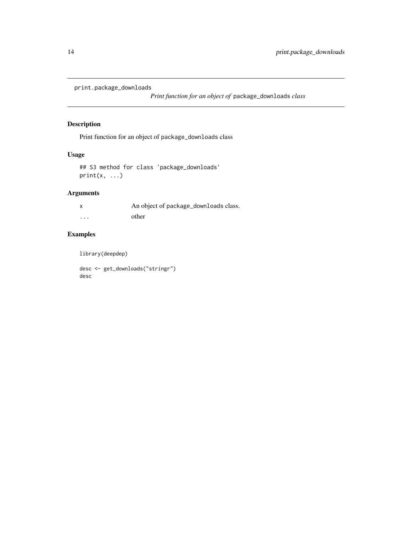```
print.package_downloads
```
*Print function for an object of* package\_downloads *class*

## Description

Print function for an object of package\_downloads class

## Usage

## S3 method for class 'package\_downloads'  $print(x, \ldots)$ 

## Arguments

|          | An object of package_downloads class. |
|----------|---------------------------------------|
| $\cdots$ | other                                 |

## Examples

library(deepdep)

desc <- get\_downloads("stringr") desc